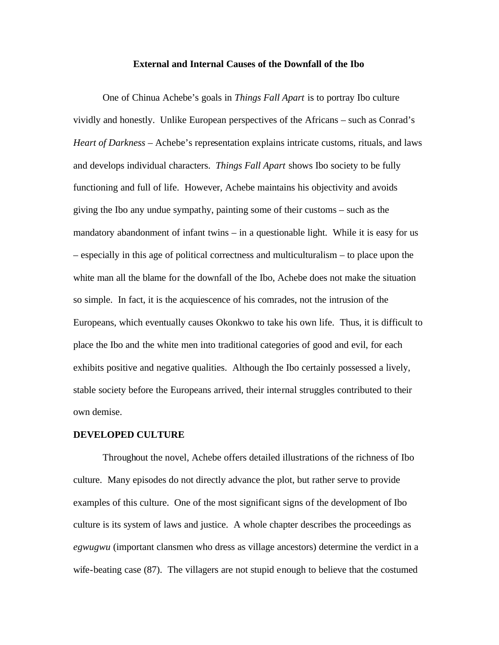#### **External and Internal Causes of the Downfall of the Ibo**

One of Chinua Achebe's goals in *Things Fall Apart* is to portray Ibo culture vividly and honestly. Unlike European perspectives of the Africans – such as Conrad's *Heart of Darkness* – Achebe's representation explains intricate customs, rituals, and laws and develops individual characters. *Things Fall Apart* shows Ibo society to be fully functioning and full of life. However, Achebe maintains his objectivity and avoids giving the Ibo any undue sympathy, painting some of their customs – such as the mandatory abandonment of infant twins – in a questionable light. While it is easy for us – especially in this age of political correctness and multiculturalism – to place upon the white man all the blame for the downfall of the Ibo, Achebe does not make the situation so simple. In fact, it is the acquiescence of his comrades, not the intrusion of the Europeans, which eventually causes Okonkwo to take his own life. Thus, it is difficult to place the Ibo and the white men into traditional categories of good and evil, for each exhibits positive and negative qualities. Although the Ibo certainly possessed a lively, stable society before the Europeans arrived, their internal struggles contributed to their own demise.

### **DEVELOPED CULTURE**

Throughout the novel, Achebe offers detailed illustrations of the richness of Ibo culture. Many episodes do not directly advance the plot, but rather serve to provide examples of this culture. One of the most significant signs of the development of Ibo culture is its system of laws and justice. A whole chapter describes the proceedings as *egwugwu* (important clansmen who dress as village ancestors) determine the verdict in a wife-beating case (87). The villagers are not stupid enough to believe that the costumed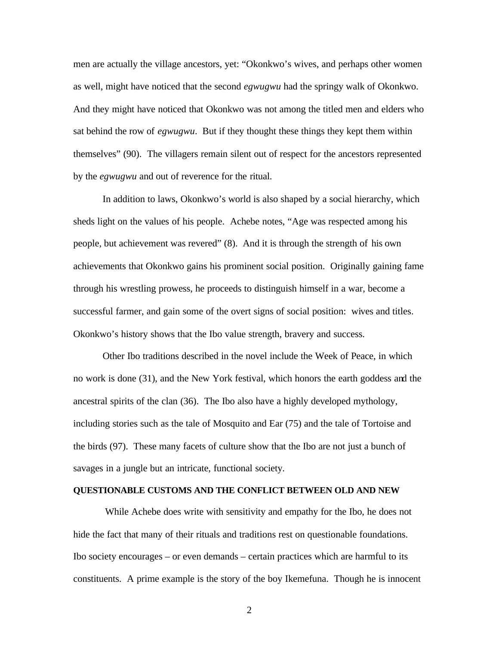men are actually the village ancestors, yet: "Okonkwo's wives, and perhaps other women as well, might have noticed that the second *egwugwu* had the springy walk of Okonkwo. And they might have noticed that Okonkwo was not among the titled men and elders who sat behind the row of *egwugwu*. But if they thought these things they kept them within themselves" (90). The villagers remain silent out of respect for the ancestors represented by the *egwugwu* and out of reverence for the ritual.

In addition to laws, Okonkwo's world is also shaped by a social hierarchy, which sheds light on the values of his people. Achebe notes, "Age was respected among his people, but achievement was revered" (8). And it is through the strength of his own achievements that Okonkwo gains his prominent social position. Originally gaining fame through his wrestling prowess, he proceeds to distinguish himself in a war, become a successful farmer, and gain some of the overt signs of social position: wives and titles. Okonkwo's history shows that the Ibo value strength, bravery and success.

Other Ibo traditions described in the novel include the Week of Peace, in which no work is done (31), and the New York festival, which honors the earth goddess and the ancestral spirits of the clan (36). The Ibo also have a highly developed mythology, including stories such as the tale of Mosquito and Ear (75) and the tale of Tortoise and the birds (97). These many facets of culture show that the Ibo are not just a bunch of savages in a jungle but an intricate, functional society.

# **QUESTIONABLE CUSTOMS AND THE CONFLICT BETWEEN OLD AND NEW**

While Achebe does write with sensitivity and empathy for the Ibo, he does not hide the fact that many of their rituals and traditions rest on questionable foundations. Ibo society encourages – or even demands – certain practices which are harmful to its constituents. A prime example is the story of the boy Ikemefuna. Though he is innocent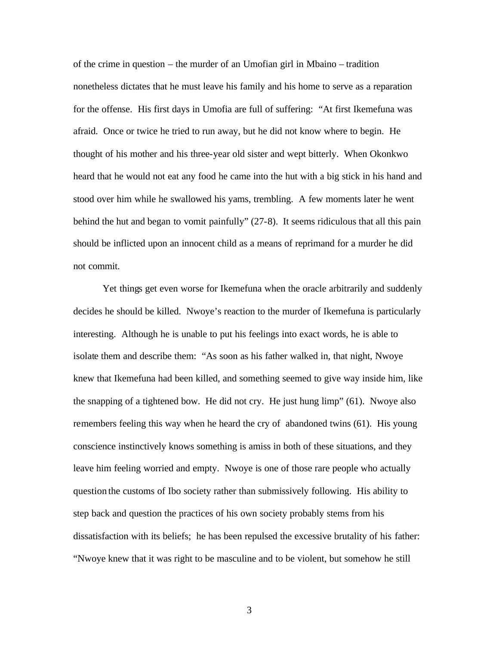of the crime in question – the murder of an Umofian girl in Mbaino – tradition nonetheless dictates that he must leave his family and his home to serve as a reparation for the offense. His first days in Umofia are full of suffering: "At first Ikemefuna was afraid. Once or twice he tried to run away, but he did not know where to begin. He thought of his mother and his three-year old sister and wept bitterly. When Okonkwo heard that he would not eat any food he came into the hut with a big stick in his hand and stood over him while he swallowed his yams, trembling. A few moments later he went behind the hut and began to vomit painfully" (27-8). It seems ridiculous that all this pain should be inflicted upon an innocent child as a means of reprimand for a murder he did not commit.

Yet things get even worse for Ikemefuna when the oracle arbitrarily and suddenly decides he should be killed. Nwoye's reaction to the murder of Ikemefuna is particularly interesting. Although he is unable to put his feelings into exact words, he is able to isolate them and describe them: "As soon as his father walked in, that night, Nwoye knew that Ikemefuna had been killed, and something seemed to give way inside him, like the snapping of a tightened bow. He did not cry. He just hung limp" (61). Nwoye also remembers feeling this way when he heard the cry of abandoned twins (61). His young conscience instinctively knows something is amiss in both of these situations, and they leave him feeling worried and empty. Nwoye is one of those rare people who actually question the customs of Ibo society rather than submissively following. His ability to step back and question the practices of his own society probably stems from his dissatisfaction with its beliefs; he has been repulsed the excessive brutality of his father: "Nwoye knew that it was right to be masculine and to be violent, but somehow he still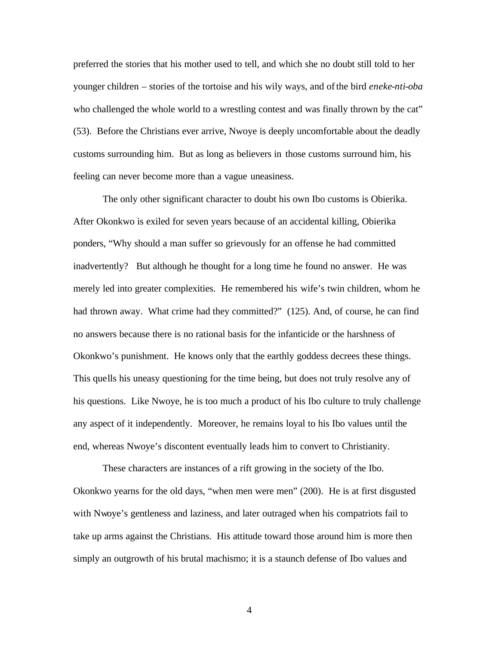preferred the stories that his mother used to tell, and which she no doubt still told to her younger children – stories of the tortoise and his wily ways, and of the bird *eneke-nti-oba* who challenged the whole world to a wrestling contest and was finally thrown by the cat" (53). Before the Christians ever arrive, Nwoye is deeply uncomfortable about the deadly customs surrounding him. But as long as believers in those customs surround him, his feeling can never become more than a vague uneasiness.

The only other significant character to doubt his own Ibo customs is Obierika. After Okonkwo is exiled for seven years because of an accidental killing, Obierika ponders, "Why should a man suffer so grievously for an offense he had committed inadvertently? But although he thought for a long time he found no answer. He was merely led into greater complexities. He remembered his wife's twin children, whom he had thrown away. What crime had they committed?" (125). And, of course, he can find no answers because there is no rational basis for the infanticide or the harshness of Okonkwo's punishment. He knows only that the earthly goddess decrees these things. This quells his uneasy questioning for the time being, but does not truly resolve any of his questions. Like Nwoye, he is too much a product of his Ibo culture to truly challenge any aspect of it independently. Moreover, he remains loyal to his Ibo values until the end, whereas Nwoye's discontent eventually leads him to convert to Christianity.

These characters are instances of a rift growing in the society of the Ibo. Okonkwo yearns for the old days, "when men were men" (200). He is at first disgusted with Nwoye's gentleness and laziness, and later outraged when his compatriots fail to take up arms against the Christians. His attitude toward those around him is more then simply an outgrowth of his brutal machismo; it is a staunch defense of Ibo values and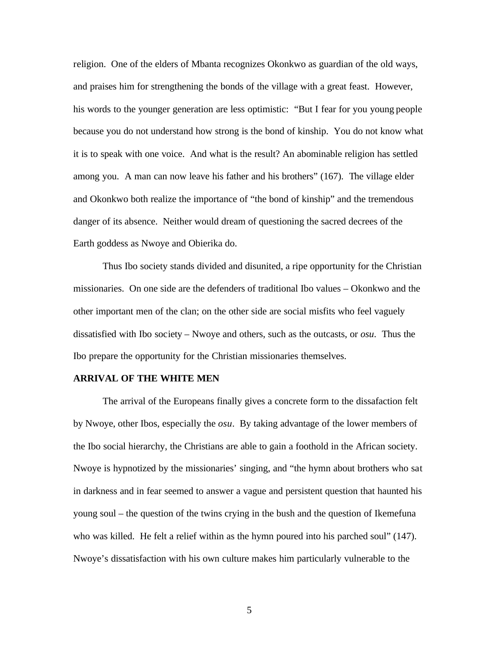religion. One of the elders of Mbanta recognizes Okonkwo as guardian of the old ways, and praises him for strengthening the bonds of the village with a great feast. However, his words to the younger generation are less optimistic: "But I fear for you young people because you do not understand how strong is the bond of kinship. You do not know what it is to speak with one voice. And what is the result? An abominable religion has settled among you. A man can now leave his father and his brothers" (167). The village elder and Okonkwo both realize the importance of "the bond of kinship" and the tremendous danger of its absence. Neither would dream of questioning the sacred decrees of the Earth goddess as Nwoye and Obierika do.

Thus Ibo society stands divided and disunited, a ripe opportunity for the Christian missionaries. On one side are the defenders of traditional Ibo values – Okonkwo and the other important men of the clan; on the other side are social misfits who feel vaguely dissatisfied with Ibo society – Nwoye and others, such as the outcasts, or *osu*. Thus the Ibo prepare the opportunity for the Christian missionaries themselves.

### **ARRIVAL OF THE WHITE MEN**

The arrival of the Europeans finally gives a concrete form to the dissafaction felt by Nwoye, other Ibos, especially the *osu*. By taking advantage of the lower members of the Ibo social hierarchy, the Christians are able to gain a foothold in the African society. Nwoye is hypnotized by the missionaries' singing, and "the hymn about brothers who sat in darkness and in fear seemed to answer a vague and persistent question that haunted his young soul – the question of the twins crying in the bush and the question of Ikemefuna who was killed. He felt a relief within as the hymn poured into his parched soul" (147). Nwoye's dissatisfaction with his own culture makes him particularly vulnerable to the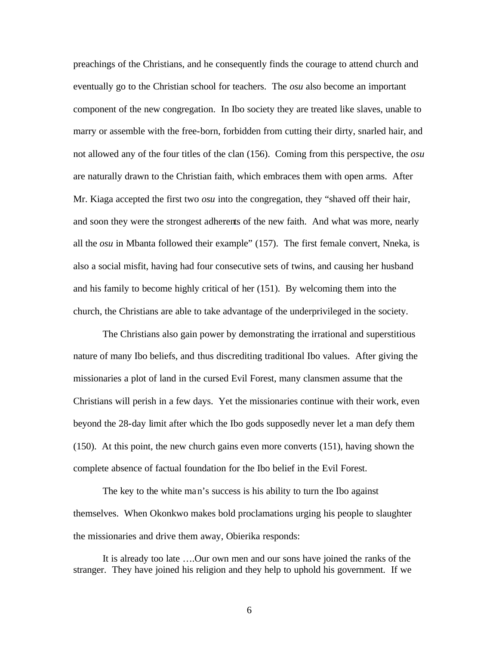preachings of the Christians, and he consequently finds the courage to attend church and eventually go to the Christian school for teachers. The *osu* also become an important component of the new congregation. In Ibo society they are treated like slaves, unable to marry or assemble with the free-born, forbidden from cutting their dirty, snarled hair, and not allowed any of the four titles of the clan (156). Coming from this perspective, the *osu* are naturally drawn to the Christian faith, which embraces them with open arms. After Mr. Kiaga accepted the first two *osu* into the congregation, they "shaved off their hair, and soon they were the strongest adherents of the new faith. And what was more, nearly all the *osu* in Mbanta followed their example" (157). The first female convert, Nneka, is also a social misfit, having had four consecutive sets of twins, and causing her husband and his family to become highly critical of her (151). By welcoming them into the church, the Christians are able to take advantage of the underprivileged in the society.

The Christians also gain power by demonstrating the irrational and superstitious nature of many Ibo beliefs, and thus discrediting traditional Ibo values. After giving the missionaries a plot of land in the cursed Evil Forest, many clansmen assume that the Christians will perish in a few days. Yet the missionaries continue with their work, even beyond the 28-day limit after which the Ibo gods supposedly never let a man defy them (150). At this point, the new church gains even more converts (151), having shown the complete absence of factual foundation for the Ibo belief in the Evil Forest.

The key to the white man's success is his ability to turn the Ibo against themselves. When Okonkwo makes bold proclamations urging his people to slaughter the missionaries and drive them away, Obierika responds:

It is already too late ….Our own men and our sons have joined the ranks of the stranger. They have joined his religion and they help to uphold his government. If we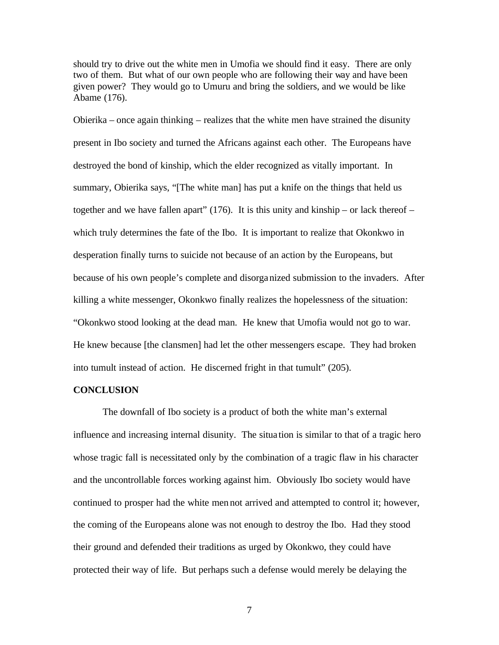should try to drive out the white men in Umofia we should find it easy. There are only two of them. But what of our own people who are following their way and have been given power? They would go to Umuru and bring the soldiers, and we would be like Abame (176).

Obierika – once again thinking – realizes that the white men have strained the disunity present in Ibo society and turned the Africans against each other. The Europeans have destroyed the bond of kinship, which the elder recognized as vitally important. In summary, Obierika says, "[The white man] has put a knife on the things that held us together and we have fallen apart" (176). It is this unity and kinship – or lack thereof – which truly determines the fate of the Ibo. It is important to realize that Okonkwo in desperation finally turns to suicide not because of an action by the Europeans, but because of his own people's complete and disorganized submission to the invaders. After killing a white messenger, Okonkwo finally realizes the hopelessness of the situation: "Okonkwo stood looking at the dead man. He knew that Umofia would not go to war. He knew because [the clansmen] had let the other messengers escape. They had broken into tumult instead of action. He discerned fright in that tumult" (205).

## **CONCLUSION**

The downfall of Ibo society is a product of both the white man's external influence and increasing internal disunity. The situa tion is similar to that of a tragic hero whose tragic fall is necessitated only by the combination of a tragic flaw in his character and the uncontrollable forces working against him. Obviously Ibo society would have continued to prosper had the white men not arrived and attempted to control it; however, the coming of the Europeans alone was not enough to destroy the Ibo. Had they stood their ground and defended their traditions as urged by Okonkwo, they could have protected their way of life. But perhaps such a defense would merely be delaying the